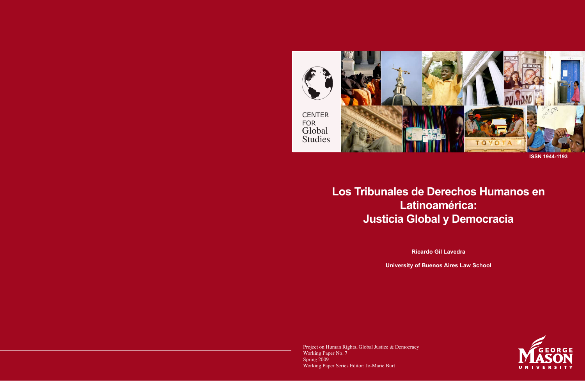

**ISSN 1944-1193**

# **Los Tribunales de Derechos Humanos en Latinoamérica: Justicia Global y Democracia**

**Ricardo Gil Lavedra** 

**University of Buenos Aires Law School**

Project on Human Rights, Global Justice & Democracy Working Paper No. 7 Spring 2009 Working Paper Series Editor: Jo-Marie Burt

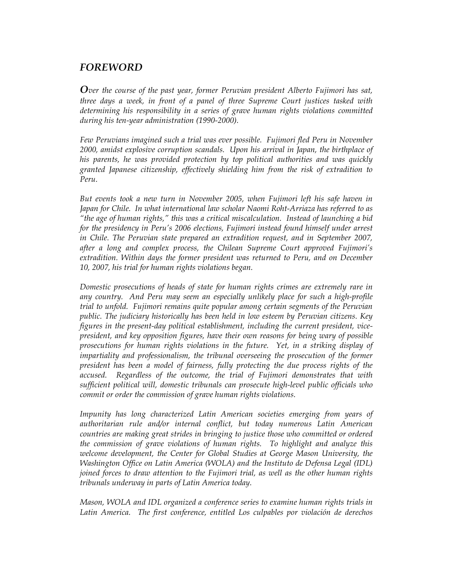# *FOREWORD*

*Over the course of the past year, former Peruvian president Alberto Fujimori has sat, three days a week, in front of a panel of three Supreme Court justices tasked with determining his responsibility in a series of grave human rights violations committed during his ten-year administration (1990-2000).*

*Few Peruvians imagined such a trial was ever possible. Fujimori fled Peru in November 2000, amidst explosive corruption scandals. Upon his arrival in Japan, the birthplace of his parents, he was provided protection by top political authorities and was quickly granted Japanese citizenship, effectively shielding him from the risk of extradition to Peru.*

*But events took a new turn in November 2005, when Fujimori left his safe haven in Japan for Chile. In what international law scholar Naomi Roht-Arriaza has referred to as "the age of human rights," this was a critical miscalculation. Instead of launching a bid for the presidency in Peru's 2006 elections, Fujimori instead found himself under arrest in Chile. The Peruvian state prepared an extradition request, and in September 2007, after a long and complex process, the Chilean Supreme Court approved Fujimori's extradition. Within days the former president was returned to Peru, and on December 10, 2007, his trial for human rights violations began.*

*Domestic prosecutions of heads of state for human rights crimes are extremely rare in any country. And Peru may seem an especially unlikely place for such a high-profile trial to unfold. Fujimori remains quite popular among certain segments of the Peruvian public. The judiciary historically has been held in low esteem by Peruvian citizens. Key figures in the present-day political establishment, including the current president, vicepresident, and key opposition figures, have their own reasons for being wary of possible prosecutions for human rights violations in the future. Yet, in a striking display of impartiality and professionalism, the tribunal overseeing the prosecution of the former president has been a model of fairness, fully protecting the due process rights of the accused. Regardless of the outcome, the trial of Fujimori demonstrates that with sufficient political will, domestic tribunals can prosecute high-level public officials who commit or order the commission of grave human rights violations.*

*Impunity has long characterized Latin American societies emerging from years of authoritarian rule and/or internal conflict, but today numerous Latin American countries are making great strides in bringing to justice those who committed or ordered the commission of grave violations of human rights. To highlight and analyze this welcome development, the Center for Global Studies at George Mason University, the Washington Office on Latin America (WOLA) and the Instituto de Defensa Legal (IDL) joined forces to draw attention to the Fujimori trial, as well as the other human rights tribunals underway in parts of Latin America today.*

*Mason, WOLA and IDL organized a conference series to examine human rights trials in Latin America. The first conference, entitled Los culpables por violación de derechos*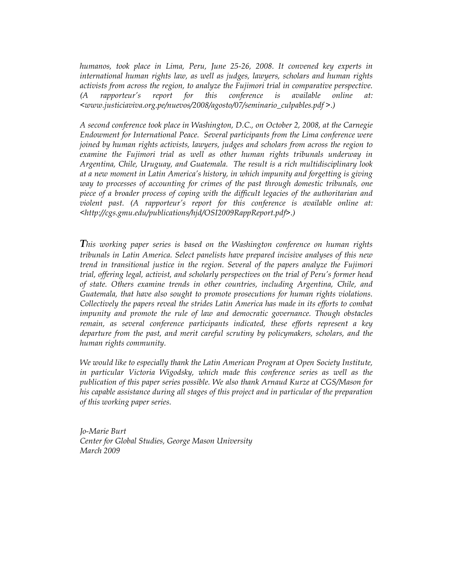*humanos, took place in Lima, Peru, June 25-26, 2008. It convened key experts in international human rights law, as well as judges, lawyers, scholars and human rights activists from across the region, to analyze the Fujimori trial in comparative perspective. (A rapporteur's report for this conference is available online at: <www.justiciaviva.org.pe/nuevos/2008/agosto/07/seminario\_culpables.pdf >.)*

*A second conference took place in Washington, D.C., on October 2, 2008, at the Carnegie Endowment for International Peace. Several participants from the Lima conference were joined by human rights activists, lawyers, judges and scholars from across the region to*  examine the Fujimori trial as well as other human rights tribunals underway in *Argentina, Chile, Uruguay, and Guatemala. The result is a rich multidisciplinary look at a new moment in Latin America's history, in which impunity and forgetting is giving way to processes of accounting for crimes of the past through domestic tribunals, one piece of a broader process of coping with the difficult legacies of the authoritarian and violent past. (A rapporteur's report for this conference is available online at: <http://cgs.gmu.edu/publications/hjd/OSI2009RappReport.pdf>.)*

*This working paper series is based on the Washington conference on human rights tribunals in Latin America. Select panelists have prepared incisive analyses of this new trend in transitional justice in the region. Several of the papers analyze the Fujimori trial, offering legal, activist, and scholarly perspectives on the trial of Peru's former head of state. Others examine trends in other countries, including Argentina, Chile, and Guatemala, that have also sought to promote prosecutions for human rights violations. Collectively the papers reveal the strides Latin America has made in its efforts to combat impunity and promote the rule of law and democratic governance. Though obstacles remain, as several conference participants indicated, these efforts represent a key departure from the past, and merit careful scrutiny by policymakers, scholars, and the human rights community.* 

*We would like to especially thank the Latin American Program at Open Society Institute, in particular Victoria Wigodsky, which made this conference series as well as the publication of this paper series possible. We also thank Arnaud Kurze at CGS/Mason for his capable assistance during all stages of this project and in particular of the preparation of this working paper series.*

*Jo-Marie Burt Center for Global Studies, George Mason University March 2009*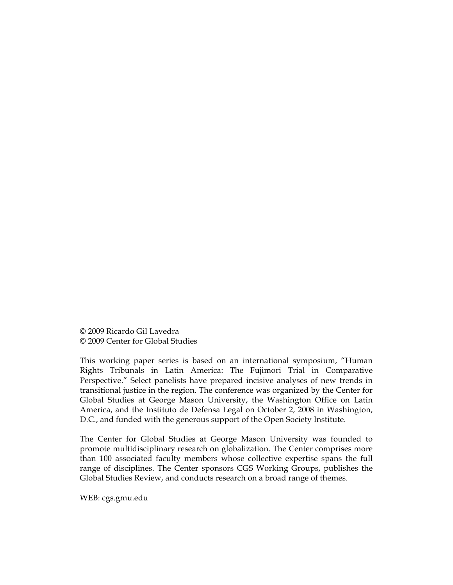© 2009 Ricardo Gil Lavedra © 2009 Center for Global Studies

This working paper series is based on an international symposium, "Human Rights Tribunals in Latin America: The Fujimori Trial in Comparative Perspective." Select panelists have prepared incisive analyses of new trends in transitional justice in the region. The conference was organized by the Center for Global Studies at George Mason University, the Washington Office on Latin America, and the Instituto de Defensa Legal on October 2, 2008 in Washington, D.C., and funded with the generous support of the Open Society Institute.

The Center for Global Studies at George Mason University was founded to promote multidisciplinary research on globalization. The Center comprises more than 100 associated faculty members whose collective expertise spans the full range of disciplines. The Center sponsors CGS Working Groups, publishes the Global Studies Review, and conducts research on a broad range of themes.

WEB: cgs.gmu.edu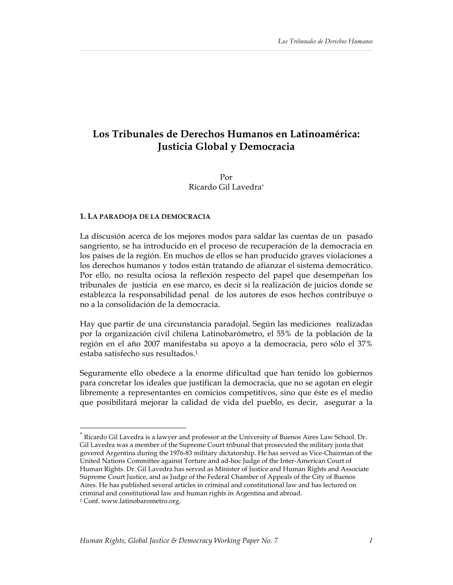# **Los Tribunales de Derechos Humanos en Latinoamérica: Justicia Global y Democracia**

## Por Ricardo Gil Lavedra\*

#### **1. LA PARADOJA DE LA DEMOCRACIA**

La discusión acerca de los mejores modos para saldar las cuentas de un pasado sangriento, se ha introducido en el proceso de recuperación de la democracia en los países de la región. En muchos de ellos se han producido graves violaciones a los derechos humanos y todos están tratando de afianzar el sistema democrático. Por ello, no resulta ociosa la reflexión respecto del papel que desempeñan los tribunales de justicia en ese marco, es decir si la realización de juicios donde se establezca la responsabilidad penal de los autores de esos hechos contribuye o no a la consolidación de la democracia.

Hay que partir de una circunstancia paradojal. Según las mediciones realizadas por la organización civil chilena Latinobarómetro, el 55% de la población de la región en el año 2007 manifestaba su apoyo a la democracia, pero sólo el 37% estaba satisfecho sus resultados.1

Seguramente ello obedece a la enorme dificultad que han tenido los gobiernos para concretar los ideales que justifican la democracia, que no se agotan en elegir libremente a representantes en comicios competitivos, sino que éste es el medio que posibilitará mejorar la calidad de vida del pueblo, es decir, asegurar a la

 <sup>\*</sup> Ricardo Gil Lavedra is a lawyer and professor at the University of Buenos Aires Law School. Dr. Gil Lavedra was a member of the Supreme Court tribunal that prosecuted the military junta that govered Argentina during the 1976-83 military dictatorship. He has served as Vice-Chairman of the United Nations Committee against Torture and ad-hoc Judge of the Inter-American Court of Human Rights. Dr. Gil Lavedra has served as Minister of Justice and Human Rights and Associate Supreme Court Justice, and as Judge of the Federal Chamber of Appeals of the City of Buenos Aires. He has published several articles in criminal and constitutional law and has lectured on criminal and constitutional law and human rights in Argentina and abroad.

<sup>1</sup> Conf. www.latinobarometro.org.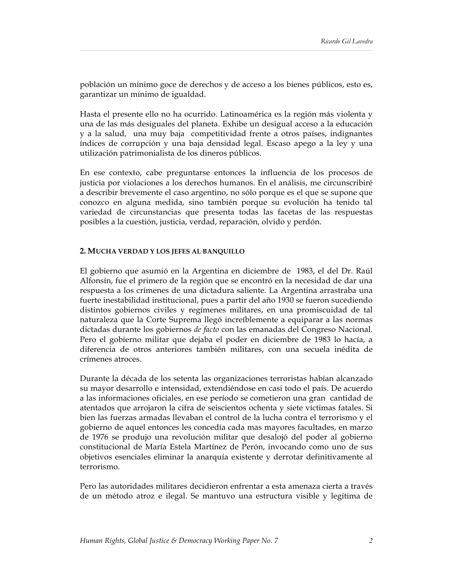población un mínimo goce de derechos y de acceso a los bienes públicos, esto es, garantizar un mínimo de igualdad.

Hasta el presente ello no ha ocurrido. Latinoamérica es la región más violenta y una de las más desiguales del planeta. Exhibe un desigual acceso a la educación y a la salud, una muy baja competitividad frente a otros países, indignantes índices de corrupción y una baja densidad legal. Escaso apego a la ley y una utilización patrimonialista de los dineros públicos.

En ese contexto, cabe preguntarse entonces la influencia de los procesos de justicia por violaciones a los derechos humanos. En el análisis, me circunscribiré a describir brevemente el caso argentino, no sólo porque es el que se supone que conozco en alguna medida, sino también porque su evolución ha tenido tal variedad de circunstancias que presenta todas las facetas de las respuestas posibles a la cuestión, justicia, verdad, reparación, olvido y perdón.

#### **2. MUCHA VERDAD Y LOS JEFES AL BANQUILLO**

El gobierno que asumió en la Argentina en diciembre de 1983, el del Dr. Raúl Alfonsín, fue el primero de la región que se encontró en la necesidad de dar una respuesta a los crímenes de una dictadura saliente. La Argentina arrastraba una fuerte inestabilidad institucional, pues a partir del año 1930 se fueron sucediendo distintos gobiernos civiles y regímenes militares, en una promiscuidad de tal naturaleza que la Corte Suprema llegó increíblemente a equiparar a las normas dictadas durante los gobiernos *de facto* con las emanadas del Congreso Nacional. Pero el gobierno militar que dejaba el poder en diciembre de 1983 lo hacía, a diferencia de otros anteriores también militares, con una secuela inédita de crímenes atroces.

Durante la década de los setenta las organizaciones terroristas habían alcanzado su mayor desarrollo e intensidad, extendiéndose en casi todo el país. De acuerdo a las informaciones oficiales, en ese período se cometieron una gran cantidad de atentados que arrojaron la cifra de seiscientos ochenta y siete víctimas fatales. Si bien las fuerzas armadas llevaban el control de la lucha contra el terrorismo y el gobierno de aquel entonces les concedía cada mas mayores facultades, en marzo de 1976 se produjo una revolución militar que desalojó del poder al gobierno constitucional de María Estela Martínez de Perón, invocando como uno de sus objetivos esenciales eliminar la anarquía existente y derrotar definitivamente al terrorismo.

Pero las autoridades militares decidieron enfrentar a esta amenaza cierta a través de un método atroz e ilegal. Se mantuvo una estructura visible y legítima de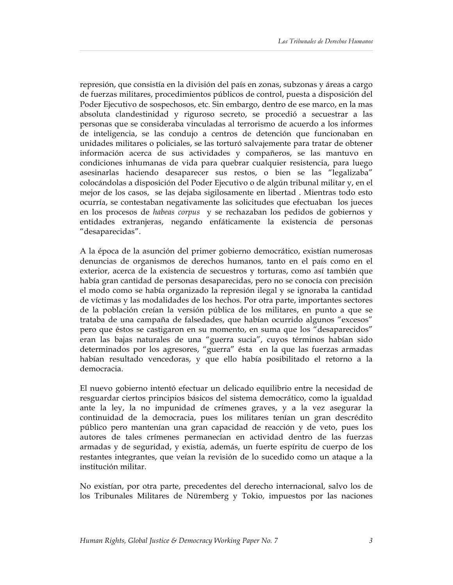represión, que consistía en la división del país en zonas, subzonas y áreas a cargo de fuerzas militares, procedimientos públicos de control, puesta a disposición del Poder Ejecutivo de sospechosos, etc. Sin embargo, dentro de ese marco, en la mas absoluta clandestinidad y riguroso secreto, se procedió a secuestrar a las personas que se consideraba vinculadas al terrorismo de acuerdo a los informes de inteligencia, se las condujo a centros de detención que funcionaban en unidades militares o policiales, se las torturó salvajemente para tratar de obtener información acerca de sus actividades y compañeros, se las mantuvo en condiciones inhumanas de vida para quebrar cualquier resistencia, para luego asesinarlas haciendo desaparecer sus restos, o bien se las "legalizaba" colocándolas a disposición del Poder Ejecutivo o de algún tribunal militar y, en el mejor de los casos, se las dejaba sigilosamente en libertad . Mientras todo esto ocurría, se contestaban negativamente las solicitudes que efectuaban los jueces en los procesos de *habeas corpus* y se rechazaban los pedidos de gobiernos y entidades extranjeras, negando enfáticamente la existencia de personas "desaparecidas".

A la época de la asunción del primer gobierno democrático, existían numerosas denuncias de organismos de derechos humanos, tanto en el país como en el exterior, acerca de la existencia de secuestros y torturas, como así también que había gran cantidad de personas desaparecidas, pero no se conocía con precisión el modo como se había organizado la represión ilegal y se ignoraba la cantidad de víctimas y las modalidades de los hechos. Por otra parte, importantes sectores de la población creían la versión pública de los militares, en punto a que se trataba de una campaña de falsedades, que habían ocurrido algunos "excesos" pero que éstos se castigaron en su momento, en suma que los "desaparecidos" eran las bajas naturales de una "guerra sucia", cuyos términos habían sido determinados por los agresores, "guerra" ésta en la que las fuerzas armadas habían resultado vencedoras, y que ello había posibilitado el retorno a la democracia.

El nuevo gobierno intentó efectuar un delicado equilibrio entre la necesidad de resguardar ciertos principios básicos del sistema democrático, como la igualdad ante la ley, la no impunidad de crímenes graves, y a la vez asegurar la continuidad de la democracia, pues los militares tenían un gran descrédito público pero mantenían una gran capacidad de reacción y de veto, pues los autores de tales crímenes permanecían en actividad dentro de las fuerzas armadas y de seguridad, y existía, además, un fuerte espíritu de cuerpo de los restantes integrantes, que veían la revisión de lo sucedido como un ataque a la institución militar.

No existían, por otra parte, precedentes del derecho internacional, salvo los de los Tribunales Militares de Nüremberg y Tokio, impuestos por las naciones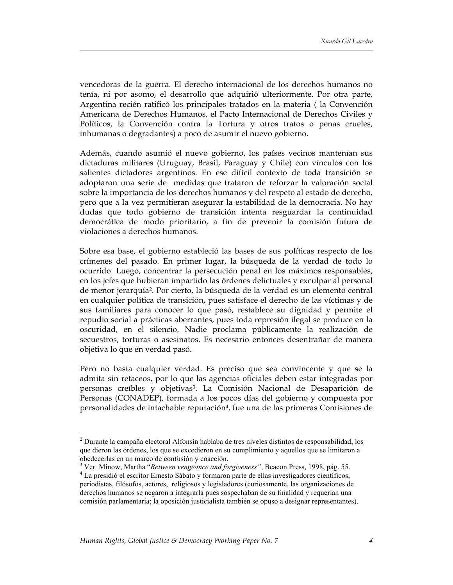vencedoras de la guerra. El derecho internacional de los derechos humanos no tenía, ni por asomo, el desarrollo que adquirió ulteriormente. Por otra parte, Argentina recién ratificó los principales tratados en la materia ( la Convención Americana de Derechos Humanos, el Pacto Internacional de Derechos Civiles y Políticos, la Convención contra la Tortura y otros tratos o penas crueles, inhumanas o degradantes) a poco de asumir el nuevo gobierno.

Además, cuando asumió el nuevo gobierno, los países vecinos mantenían sus dictaduras militares (Uruguay, Brasil, Paraguay y Chile) con vínculos con los salientes dictadores argentinos. En ese difícil contexto de toda transición se adoptaron una serie de medidas que trataron de reforzar la valoración social sobre la importancia de los derechos humanos y del respeto al estado de derecho, pero que a la vez permitieran asegurar la estabilidad de la democracia. No hay dudas que todo gobierno de transición intenta resguardar la continuidad democrática de modo prioritario, a fin de prevenir la comisión futura de violaciones a derechos humanos.

Sobre esa base, el gobierno estableció las bases de sus políticas respecto de los crímenes del pasado. En primer lugar, la búsqueda de la verdad de todo lo ocurrido. Luego, concentrar la persecución penal en los máximos responsables, en los jefes que hubieran impartido las órdenes delictuales y exculpar al personal de menor jerarquía2. Por cierto, la búsqueda de la verdad es un elemento central en cualquier política de transición, pues satisface el derecho de las víctimas y de sus familiares para conocer lo que pasó, restablece su dignidad y permite el repudio social a prácticas aberrantes, pues toda represión ilegal se produce en la oscuridad, en el silencio. Nadie proclama públicamente la realización de secuestros, torturas o asesinatos. Es necesario entonces desentrañar de manera objetiva lo que en verdad pasó.

Pero no basta cualquier verdad. Es preciso que sea convincente y que se la admita sin retaceos, por lo que las agencias oficiales deben estar integradas por personas creíbles y objetivas3. La Comisión Nacional de Desaparición de Personas (CONADEP), formada a los pocos días del gobierno y compuesta por personalidades de intachable reputación4, fue una de las primeras Comisiones de

 $\frac{1}{2}$  $2$  Durante la campaña electoral Alfonsín hablaba de tres niveles distintos de responsabilidad, los que dieron las órdenes, los que se excedieron en su cumplimiento y aquellos que se limitaron a obedecerlas en un marco de confusión y coacción.

<sup>&</sup>lt;sup>3</sup> Ver Minow, Martha "*Between vengeance and forgiveness*", Beacon Press, 1998, pág. 55.<br><sup>4</sup> Le presidió al segütar Emeste Sébate y formaren perte de alles investigadores ejentíficas.

La presidió el escritor Ernesto Sábato y formaron parte de ellas investigadores científicos, periodistas, filósofos, actores, religiosos y legisladores (curiosamente, las organizaciones de derechos humanos se negaron a integrarla pues sospechaban de su finalidad y requerían una comisión parlamentaria; la oposición justicialista también se opuso a designar representantes).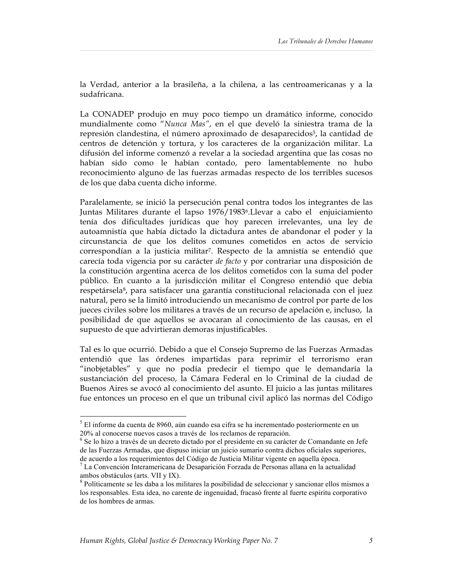la Verdad, anterior a la brasileña, a la chilena, a las centroamericanas y a la sudafricana.

La CONADEP produjo en muy poco tiempo un dramático informe, conocido mundialmente como "*Nunca Mas"*, en el que develó la siniestra trama de la represión clandestina, el número aproximado de desaparecidos<sup>5</sup>, la cantidad de centros de detención y tortura, y los caracteres de la organización militar. La difusión del informe comenzó a revelar a la sociedad argentina que las cosas no habían sido como le habían contado, pero lamentablemente no hubo reconocimiento alguno de las fuerzas armadas respecto de los terribles sucesos de los que daba cuenta dicho informe.

Paralelamente, se inició la persecución penal contra todos los integrantes de las Juntas Militares durante el lapso 1976/19836.Llevar a cabo el enjuiciamiento tenía dos dificultades jurídicas que hoy parecen irrelevantes, una ley de autoamnistía que había dictado la dictadura antes de abandonar el poder y la circunstancia de que los delitos comunes cometidos en actos de servicio correspondían a la justicia militar7. Respecto de la amnistía se entendió que carecía toda vigencia por su carácter *de facto* y por contrariar una disposición de la constitución argentina acerca de los delitos cometidos con la suma del poder público. En cuanto a la jurisdicción militar el Congreso entendió que debía respetársela<sup>8</sup>, para satisfacer una garantía constitucional relacionada con el juez natural, pero se la limitó introduciendo un mecanismo de control por parte de los jueces civiles sobre los militares a través de un recurso de apelación e, incluso, la posibilidad de que aquellos se avocaran al conocimiento de las causas, en el supuesto de que advirtieran demoras injustificables.

Tal es lo que ocurrió. Debido a que el Consejo Supremo de las Fuerzas Armadas entendió que las órdenes impartidas para reprimir el terrorismo eran "inobjetables" y que no podía predecir el tiempo que le demandaría la sustanciación del proceso, la Cámara Federal en lo Criminal de la ciudad de Buenos Aires se avocó al conocimiento del asunto. El juicio a las juntas militares fue entonces un proceso en el que un tribunal civil aplicó las normas del Código

 $\frac{1}{5}$  $5$  El informe da cuenta de 8960, aún cuando esa cifra se ha incrementado posteriormente en un 20% al conocerse nuevos casos a través de los reclamos de reparación.

<sup>&</sup>lt;sup>6</sup> Se lo hizo a través de un decreto dictado por el presidente en su carácter de Comandante en Jefe de las Fuerzas Armadas, que dispuso iniciar un juicio sumario contra dichos oficiales superiores, de acuerdo a los requerimientos del Código de Justicia Militar vigente en aquella época.

<sup>7</sup> La Convención Interamericana de Desaparición Forzada de Personas allana en la actualidad ambos obstáculos (arts. VII y IX). <sup>8</sup>

 $8$  Políticamente se les daba a los militares la posibilidad de seleccionar y sancionar ellos mismos a los responsables. Esta idea, no carente de ingenuidad, fracasó frente al fuerte espiritu corporativo de los hombres de armas.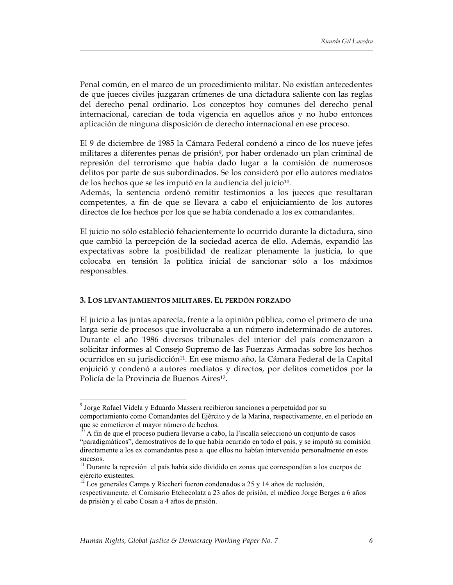Penal común, en el marco de un procedimiento militar. No existían antecedentes de que jueces civiles juzgaran crímenes de una dictadura saliente con las reglas del derecho penal ordinario. Los conceptos hoy comunes del derecho penal internacional, carecían de toda vigencia en aquellos años y no hubo entonces aplicación de ninguna disposición de derecho internacional en ese proceso.

El 9 de diciembre de 1985 la Cámara Federal condenó a cinco de los nueve jefes militares a diferentes penas de prisión<sup>9</sup>, por haber ordenado un plan criminal de represión del terrorismo que había dado lugar a la comisión de numerosos delitos por parte de sus subordinados. Se los consideró por ello autores mediatos de los hechos que se les imputó en la audiencia del juicio<sup>10</sup>.

Además, la sentencia ordenó remitir testimonios a los jueces que resultaran competentes, a fin de que se llevara a cabo el enjuiciamiento de los autores directos de los hechos por los que se había condenado a los ex comandantes.

El juicio no sólo estableció fehacientemente lo ocurrido durante la dictadura, sino que cambió la percepción de la sociedad acerca de ello. Además, expandió las expectativas sobre la posibilidad de realizar plenamente la justicia, lo que colocaba en tensión la política inicial de sancionar sólo a los máximos responsables.

#### **3. LOS LEVANTAMIENTOS MILITARES. EL PERDÓN FORZADO**

El juicio a las juntas aparecía, frente a la opinión pública, como el primero de una larga serie de procesos que involucraba a un número indeterminado de autores. Durante el año 1986 diversos tribunales del interior del país comenzaron a solicitar informes al Consejo Supremo de las Fuerzas Armadas sobre los hechos ocurridos en su jurisdicción11. En ese mismo año, la Cámara Federal de la Capital enjuició y condenó a autores mediatos y directos, por delitos cometidos por la Policía de la Provincia de Buenos Aires<sup>12</sup>.

<sup>-&</sup>lt;br>9 <sup>9</sup> Jorge Rafael Videla y Eduardo Massera recibieron sanciones a perpetuidad por su comportamiento como Comandantes del Ejército y de la Marina, respectivamente, en el período en que se cometieron el mayor número de hechos.

 $10$  A fin de que el proceso pudiera llevarse a cabo, la Fiscalía seleccionó un conjunto de casos "paradigmáticos", demostrativos de lo que había ocurrido en todo el país, y se imputó su comisión directamente a los ex comandantes pese a que ellos no habían intervenido personalmente en esos sucesos.

 $<sup>11</sup>$  Durante la represión el país había sido dividido en zonas que correspondían a los cuerpos de</sup> ejército existentes.

Los generales Camps y Riccheri fueron condenados a 25 y 14 años de reclusión,

respectivamente, el Comisario Etchecolatz a 23 años de prisión, el médico Jorge Berges a 6 años de prisión y el cabo Cosan a 4 años de prisión.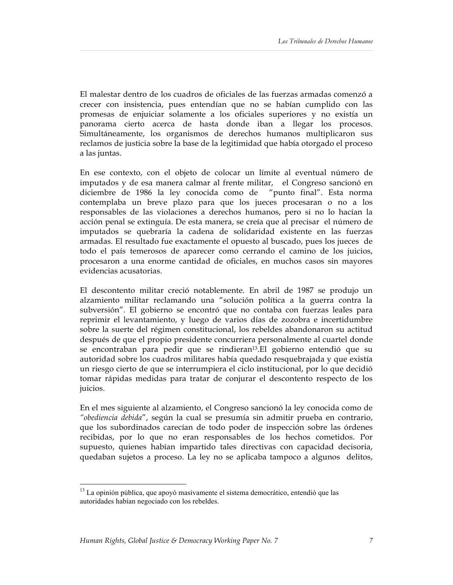El malestar dentro de los cuadros de oficiales de las fuerzas armadas comenzó a crecer con insistencia, pues entendían que no se habían cumplido con las promesas de enjuiciar solamente a los oficiales superiores y no existía un panorama cierto acerca de hasta donde iban a llegar los procesos. Simultáneamente, los organismos de derechos humanos multiplicaron sus reclamos de justicia sobre la base de la legitimidad que había otorgado el proceso a las juntas.

En ese contexto, con el objeto de colocar un límite al eventual número de imputados y de esa manera calmar al frente militar, el Congreso sancionó en diciembre de 1986 la ley conocida como de "punto final". Esta norma contemplaba un breve plazo para que los jueces procesaran o no a los responsables de las violaciones a derechos humanos, pero si no lo hacían la acción penal se extinguía. De esta manera, se creía que al precisar el número de imputados se quebraría la cadena de solidaridad existente en las fuerzas armadas. El resultado fue exactamente el opuesto al buscado, pues los jueces de todo el país temerosos de aparecer como cerrando el camino de los juicios, procesaron a una enorme cantidad de oficiales, en muchos casos sin mayores evidencias acusatorias.

El descontento militar creció notablemente. En abril de 1987 se produjo un alzamiento militar reclamando una "solución política a la guerra contra la subversión". El gobierno se encontró que no contaba con fuerzas leales para reprimir el levantamiento, y luego de varios días de zozobra e incertidumbre sobre la suerte del régimen constitucional, los rebeldes abandonaron su actitud después de que el propio presidente concurriera personalmente al cuartel donde se encontraban para pedir que se rindieran<sup>13</sup>.El gobierno entendió que su autoridad sobre los cuadros militares había quedado resquebrajada y que existía un riesgo cierto de que se interrumpiera el ciclo institucional, por lo que decidió tomar rápidas medidas para tratar de conjurar el descontento respecto de los juicios.

En el mes siguiente al alzamiento, el Congreso sancionó la ley conocida como de *"obediencia debida*", según la cual se presumía sin admitir prueba en contrario, que los subordinados carecían de todo poder de inspección sobre las órdenes recibidas, por lo que no eran responsables de los hechos cometidos. Por supuesto, quienes habían impartido tales directivas con capacidad decisoria, quedaban sujetos a proceso. La ley no se aplicaba tampoco a algunos delitos,

<sup>&</sup>lt;sup>13</sup> La opinión pública, que apoyó masivamente el sistema democrático, entendió que las autoridades habían negociado con los rebeldes.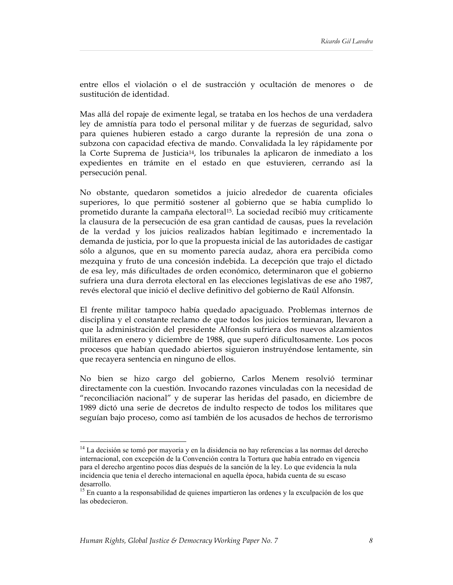entre ellos el violación o el de sustracción y ocultación de menores o de sustitución de identidad.

Mas allá del ropaje de eximente legal, se trataba en los hechos de una verdadera ley de amnistía para todo el personal militar y de fuerzas de seguridad, salvo para quienes hubieren estado a cargo durante la represión de una zona o subzona con capacidad efectiva de mando. Convalidada la ley rápidamente por la Corte Suprema de Justicia<sup>14</sup>, los tribunales la aplicaron de inmediato a los expedientes en trámite en el estado en que estuvieren, cerrando así la persecución penal.

No obstante, quedaron sometidos a juicio alrededor de cuarenta oficiales superiores, lo que permitió sostener al gobierno que se había cumplido lo prometido durante la campaña electoral<sup>15</sup>. La sociedad recibió muy críticamente la clausura de la persecución de esa gran cantidad de causas, pues la revelación de la verdad y los juicios realizados habían legitimado e incrementado la demanda de justicia, por lo que la propuesta inicial de las autoridades de castigar sólo a algunos, que en su momento parecía audaz, ahora era percibida como mezquina y fruto de una concesión indebida. La decepción que trajo el dictado de esa ley, más dificultades de orden económico, determinaron que el gobierno sufriera una dura derrota electoral en las elecciones legislativas de ese año 1987, revés electoral que inició el declive definitivo del gobierno de Raúl Alfonsín.

El frente militar tampoco había quedado apaciguado. Problemas internos de disciplina y el constante reclamo de que todos los juicios terminaran, llevaron a que la administración del presidente Alfonsín sufriera dos nuevos alzamientos militares en enero y diciembre de 1988, que superó dificultosamente. Los pocos procesos que habían quedado abiertos siguieron instruyéndose lentamente, sin que recayera sentencia en ninguno de ellos.

No bien se hizo cargo del gobierno, Carlos Menem resolvió terminar directamente con la cuestión. Invocando razones vinculadas con la necesidad de "reconciliación nacional" y de superar las heridas del pasado, en diciembre de 1989 dictó una serie de decretos de indulto respecto de todos los militares que seguían bajo proceso, como así también de los acusados de hechos de terrorismo

<sup>&</sup>lt;sup>14</sup> La decisión se tomó por mayoría y en la disidencia no hay referencias a las normas del derecho internacional, con excepción de la Convención contra la Tortura que había entrado en vigencia para el derecho argentino pocos días después de la sanción de la ley. Lo que evidencia la nula incidencia que tenia el derecho internacional en aquella época, habida cuenta de su escaso desarrollo.

<sup>&</sup>lt;sup>15</sup> En cuanto a la responsabilidad de quienes impartieron las ordenes y la exculpación de los que las obedecieron.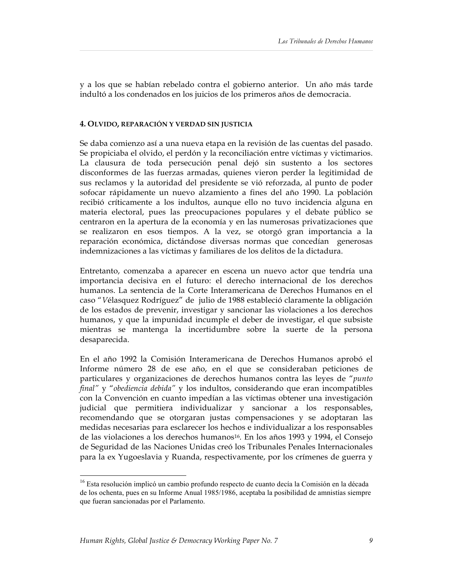y a los que se habían rebelado contra el gobierno anterior. Un año más tarde indultó a los condenados en los juicios de los primeros años de democracia.

#### **4. OLVIDO, REPARACIÓN Y VERDAD SIN JUSTICIA**

Se daba comienzo así a una nueva etapa en la revisión de las cuentas del pasado. Se propiciaba el olvido, el perdón y la reconciliación entre víctimas y victimarios. La clausura de toda persecución penal dejó sin sustento a los sectores disconformes de las fuerzas armadas, quienes vieron perder la legitimidad de sus reclamos y la autoridad del presidente se vió reforzada, al punto de poder sofocar rápidamente un nuevo alzamiento a fines del año 1990. La población recibió críticamente a los indultos, aunque ello no tuvo incidencia alguna en materia electoral, pues las preocupaciones populares y el debate público se centraron en la apertura de la economía y en las numerosas privatizaciones que se realizaron en esos tiempos. A la vez, se otorgó gran importancia a la reparación económica, dictándose diversas normas que concedían generosas indemnizaciones a las víctimas y familiares de los delitos de la dictadura.

Entretanto, comenzaba a aparecer en escena un nuevo actor que tendría una importancia decisiva en el futuro: el derecho internacional de los derechos humanos. La sentencia de la Corte Interamericana de Derechos Humanos en el caso "*V*élasquez Rodríguez" de julio de 1988 estableció claramente la obligación de los estados de prevenir, investigar y sancionar las violaciones a los derechos humanos, y que la impunidad incumple el deber de investigar, el que subsiste mientras se mantenga la incertidumbre sobre la suerte de la persona desaparecida.

En el año 1992 la Comisión Interamericana de Derechos Humanos aprobó el Informe número 28 de ese año, en el que se consideraban peticiones de particulares y organizaciones de derechos humanos contra las leyes de "*punto final"* y "*obediencia debida"* y los indultos, considerando que eran incompatibles con la Convención en cuanto impedían a las víctimas obtener una investigación judicial que permitiera individualizar y sancionar a los responsables, recomendando que se otorgaran justas compensaciones y se adoptaran las medidas necesarias para esclarecer los hechos e individualizar a los responsables de las violaciones a los derechos humanos16. En los años 1993 y 1994, el Consejo de Seguridad de las Naciones Unidas creó los Tribunales Penales Internacionales para la ex Yugoeslavia y Ruanda, respectivamente, por los crímenes de guerra y

<sup>&</sup>lt;sup>16</sup> Esta resolución implicó un cambio profundo respecto de cuanto decía la Comisión en la década de los ochenta, pues en su Informe Anual 1985/1986, aceptaba la posibilidad de amnistías siempre que fueran sancionadas por el Parlamento.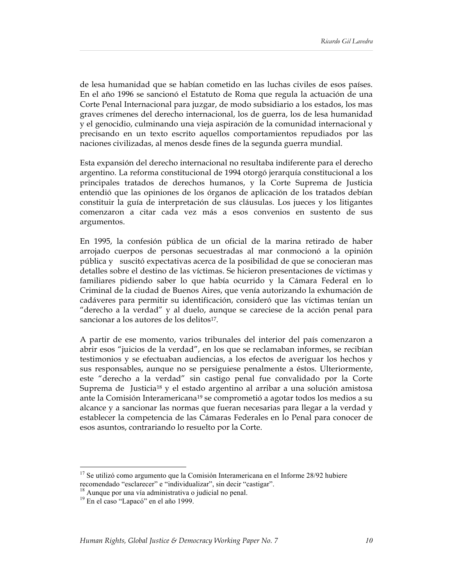de lesa humanidad que se habían cometido en las luchas civiles de esos países. En el año 1996 se sancionó el Estatuto de Roma que regula la actuación de una Corte Penal Internacional para juzgar, de modo subsidiario a los estados, los mas graves crímenes del derecho internacional, los de guerra, los de lesa humanidad y el genocidio, culminando una vieja aspiración de la comunidad internacional y precisando en un texto escrito aquellos comportamientos repudiados por las naciones civilizadas, al menos desde fines de la segunda guerra mundial.

Esta expansión del derecho internacional no resultaba indiferente para el derecho argentino. La reforma constitucional de 1994 otorgó jerarquía constitucional a los principales tratados de derechos humanos, y la Corte Suprema de Justicia entendió que las opiniones de los órganos de aplicación de los tratados debían constituir la guía de interpretación de sus cláusulas. Los jueces y los litigantes comenzaron a citar cada vez más a esos convenios en sustento de sus argumentos.

En 1995, la confesión pública de un oficial de la marina retirado de haber arrojado cuerpos de personas secuestradas al mar conmocionó a la opinión pública y suscitó expectativas acerca de la posibilidad de que se conocieran mas detalles sobre el destino de las víctimas. Se hicieron presentaciones de víctimas y familiares pidiendo saber lo que había ocurrido y la Cámara Federal en lo Criminal de la ciudad de Buenos Aires, que venía autorizando la exhumación de cadáveres para permitir su identificación, consideró que las víctimas tenían un "derecho a la verdad" y al duelo, aunque se careciese de la acción penal para sancionar a los autores de los delitos<sup>17</sup>.

A partir de ese momento, varios tribunales del interior del país comenzaron a abrir esos "juicios de la verdad", en los que se reclamaban informes, se recibían testimonios y se efectuaban audiencias, a los efectos de averiguar los hechos y sus responsables, aunque no se persiguiese penalmente a éstos. Ulteriormente, este "derecho a la verdad" sin castigo penal fue convalidado por la Corte Suprema de Justicia18 y el estado argentino al arribar a una solución amistosa ante la Comisión Interamericana<sup>19</sup> se comprometió a agotar todos los medios a su alcance y a sancionar las normas que fueran necesarias para llegar a la verdad y establecer la competencia de las Cámaras Federales en lo Penal para conocer de esos asuntos, contrariando lo resuelto por la Corte.

<sup>&</sup>lt;sup>17</sup> Se utilizó como argumento que la Comisión Interamericana en el Informe 28/92 hubiere recomendado "esclarecer" e "individualizar", sin decir "castigar".

<sup>&</sup>lt;sup>18</sup> Aunque por una vía administrativa o judicial no penal.

<sup>19</sup> En el caso "Lapacó" en el año 1999.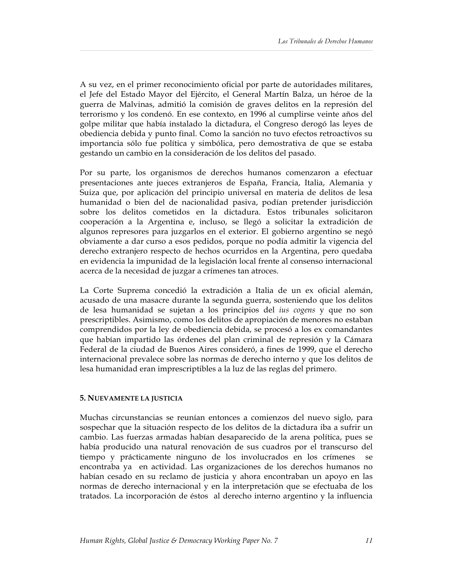A su vez, en el primer reconocimiento oficial por parte de autoridades militares, el Jefe del Estado Mayor del Ejército, el General Martín Balza, un héroe de la guerra de Malvinas, admitió la comisión de graves delitos en la represión del terrorismo y los condenó. En ese contexto, en 1996 al cumplirse veinte años del golpe militar que había instalado la dictadura, el Congreso derogó las leyes de obediencia debida y punto final. Como la sanción no tuvo efectos retroactivos su importancia sólo fue política y simbólica, pero demostrativa de que se estaba gestando un cambio en la consideración de los delitos del pasado.

Por su parte, los organismos de derechos humanos comenzaron a efectuar presentaciones ante jueces extranjeros de España, Francia, Italia, Alemania y Suiza que, por aplicación del principio universal en materia de delitos de lesa humanidad o bien del de nacionalidad pasiva, podían pretender jurisdicción sobre los delitos cometidos en la dictadura. Estos tribunales solicitaron cooperación a la Argentina e, incluso, se llegó a solicitar la extradición de algunos represores para juzgarlos en el exterior. El gobierno argentino se negó obviamente a dar curso a esos pedidos, porque no podía admitir la vigencia del derecho extranjero respecto de hechos ocurridos en la Argentina, pero quedaba en evidencia la impunidad de la legislación local frente al consenso internacional acerca de la necesidad de juzgar a crímenes tan atroces.

La Corte Suprema concedió la extradición a Italia de un ex oficial alemán, acusado de una masacre durante la segunda guerra, sosteniendo que los delitos de lesa humanidad se sujetan a los principios del *ius cogens* y que no son prescriptibles. Asimismo, como los delitos de apropiación de menores no estaban comprendidos por la ley de obediencia debida, se procesó a los ex comandantes que habían impartido las órdenes del plan criminal de represión y la Cámara Federal de la ciudad de Buenos Aires consideró, a fines de 1999, que el derecho internacional prevalece sobre las normas de derecho interno y que los delitos de lesa humanidad eran imprescriptibles a la luz de las reglas del primero.

## **5. NUEVAMENTE LA JUSTICIA**

Muchas circunstancias se reunían entonces a comienzos del nuevo siglo, para sospechar que la situación respecto de los delitos de la dictadura iba a sufrir un cambio. Las fuerzas armadas habían desaparecido de la arena política, pues se había producido una natural renovación de sus cuadros por el transcurso del tiempo y prácticamente ninguno de los involucrados en los crímenes se encontraba ya en actividad. Las organizaciones de los derechos humanos no habían cesado en su reclamo de justicia y ahora encontraban un apoyo en las normas de derecho internacional y en la interpretación que se efectuaba de los tratados. La incorporación de éstos al derecho interno argentino y la influencia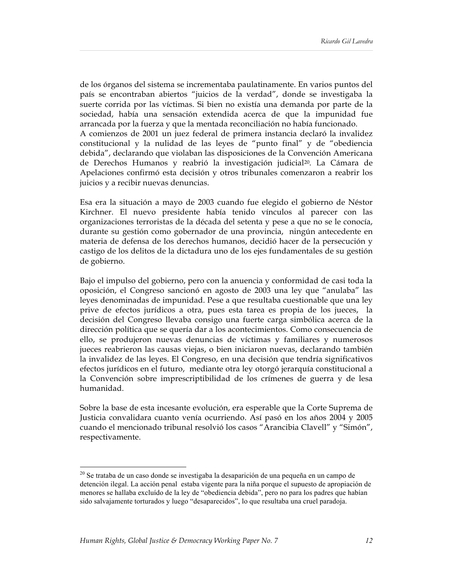de los órganos del sistema se incrementaba paulatinamente. En varios puntos del país se encontraban abiertos "juicios de la verdad", donde se investigaba la suerte corrida por las víctimas. Si bien no existía una demanda por parte de la sociedad, había una sensación extendida acerca de que la impunidad fue arrancada por la fuerza y que la mentada reconciliación no había funcionado. A comienzos de 2001 un juez federal de primera instancia declaró la invalidez constitucional y la nulidad de las leyes de "punto final" y de "obediencia debida", declarando que violaban las disposiciones de la Convención Americana de Derechos Humanos y reabrió la investigación judicial20. La Cámara de Apelaciones confirmó esta decisión y otros tribunales comenzaron a reabrir los juicios y a recibir nuevas denuncias.

Esa era la situación a mayo de 2003 cuando fue elegido el gobierno de Néstor Kirchner. El nuevo presidente había tenido vínculos al parecer con las organizaciones terroristas de la década del setenta y pese a que no se le conocía, durante su gestión como gobernador de una provincia, ningún antecedente en materia de defensa de los derechos humanos, decidió hacer de la persecución y castigo de los delitos de la dictadura uno de los ejes fundamentales de su gestión de gobierno.

Bajo el impulso del gobierno, pero con la anuencia y conformidad de casi toda la oposición, el Congreso sancionó en agosto de 2003 una ley que "anulaba" las leyes denominadas de impunidad. Pese a que resultaba cuestionable que una ley prive de efectos jurídicos a otra, pues esta tarea es propia de los jueces, la decisión del Congreso llevaba consigo una fuerte carga simbólica acerca de la dirección política que se quería dar a los acontecimientos. Como consecuencia de ello, se produjeron nuevas denuncias de víctimas y familiares y numerosos jueces reabrieron las causas viejas, o bien iniciaron nuevas, declarando también la invalidez de las leyes. El Congreso, en una decisión que tendría significativos efectos jurídicos en el futuro, mediante otra ley otorgó jerarquía constitucional a la Convención sobre imprescriptibilidad de los crímenes de guerra y de lesa humanidad.

Sobre la base de esta incesante evolución, era esperable que la Corte Suprema de Justicia convalidara cuanto venía ocurriendo. Así pasó en los años 2004 y 2005 cuando el mencionado tribunal resolvió los casos "Arancibia Clavell" y "Simón", respectivamente.

<sup>&</sup>lt;sup>20</sup> Se trataba de un caso donde se investigaba la desaparición de una pequeña en un campo de detención ilegal. La acción penal estaba vigente para la niña porque el supuesto de apropiación de menores se hallaba excluído de la ley de "obediencia debida", pero no para los padres que habían sido salvajamente torturados y luego "desaparecidos", lo que resultaba una cruel paradoja.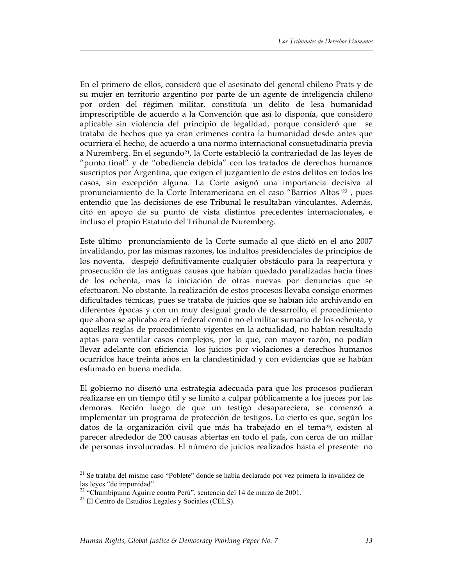En el primero de ellos, consideró que el asesinato del general chileno Prats y de su mujer en territorio argentino por parte de un agente de inteligencia chileno por orden del régimen militar, constituía un delito de lesa humanidad imprescriptible de acuerdo a la Convención que así lo disponía, que consideró aplicable sin violencia del principio de legalidad, porque consideró que se trataba de hechos que ya eran crímenes contra la humanidad desde antes que ocurriera el hecho, de acuerdo a una norma internacional consuetudinaria previa a Nuremberg. En el segundo<sup>21</sup>, la Corte estableció la contrariedad de las leyes de "punto final" y de "obediencia debida" con los tratados de derechos humanos suscriptos por Argentina, que exigen el juzgamiento de estos delitos en todos los casos, sin excepción alguna. La Corte asignó una importancia decisiva al pronunciamiento de la Corte Interamericana en el caso "Barrios Altos"<sup>22</sup>, pues entendió que las decisiones de ese Tribunal le resultaban vinculantes. Además, citó en apoyo de su punto de vista distintos precedentes internacionales, e incluso el propio Estatuto del Tribunal de Nuremberg.

Este último pronunciamiento de la Corte sumado al que dictó en el año 2007 invalidando, por las mismas razones, los indultos presidenciales de principios de los noventa, despejó definitivamente cualquier obstáculo para la reapertura y prosecución de las antiguas causas que habían quedado paralizadas hacia fines de los ochenta, mas la iniciación de otras nuevas por denuncias que se efectuaron. No obstante. la realización de estos procesos llevaba consigo enormes dificultades técnicas, pues se trataba de juicios que se habían ido archivando en diferentes épocas y con un muy desigual grado de desarrollo, el procedimiento que ahora se aplicaba era el federal común no el militar sumario de los ochenta, y aquellas reglas de procedimiento vigentes en la actualidad, no habían resultado aptas para ventilar casos complejos, por lo que, con mayor razón, no podían llevar adelante con eficiencia los juicios por violaciones a derechos humanos ocurridos hace treinta años en la clandestinidad y con evidencias que se habían esfumado en buena medida.

El gobierno no diseñó una estrategia adecuada para que los procesos pudieran realizarse en un tiempo útil y se limitó a culpar públicamente a los jueces por las demoras. Recién luego de que un testigo desapareciera, se comenzó a implementar un programa de protección de testigos. Lo cierto es que, según los datos de la organización civil que más ha trabajado en el tema<sup>23</sup>, existen al parecer alrededor de 200 causas abiertas en todo el país, con cerca de un millar de personas involucradas. El número de juicios realizados hasta el presente no

<sup>&</sup>lt;sup>21</sup> Se trataba del mismo caso "Poblete" donde se había declarado por vez primera la invalidez de las leyes "de impunidad".

<sup>&</sup>lt;sup>22</sup> "Chumbipuma Aguirre contra Perú", sentencia del 14 de marzo de 2001.<br><sup>23</sup> El Centro de Estudios Legales y Sociales (CELS).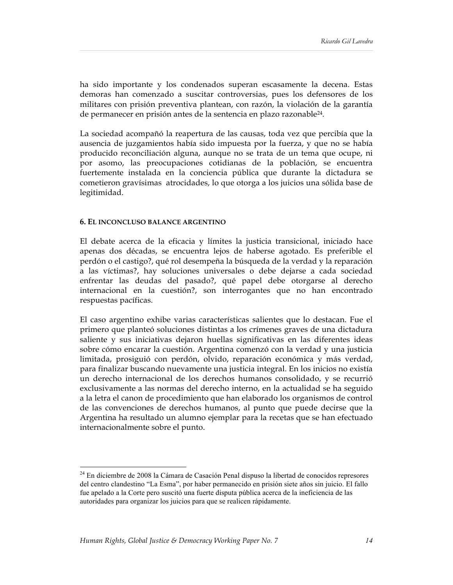ha sido importante y los condenados superan escasamente la decena. Estas demoras han comenzado a suscitar controversias, pues los defensores de los militares con prisión preventiva plantean, con razón, la violación de la garantía de permanecer en prisión antes de la sentencia en plazo razonable24.

La sociedad acompañó la reapertura de las causas, toda vez que percibía que la ausencia de juzgamientos había sido impuesta por la fuerza, y que no se había producido reconciliación alguna, aunque no se trata de un tema que ocupe, ni por asomo, las preocupaciones cotidianas de la población, se encuentra fuertemente instalada en la conciencia pública que durante la dictadura se cometieron gravísimas atrocidades, lo que otorga a los juicios una sólida base de legitimidad.

#### **6. EL INCONCLUSO BALANCE ARGENTINO**

El debate acerca de la eficacia y límites la justicia transicional, iniciado hace apenas dos décadas, se encuentra lejos de haberse agotado. Es preferible el perdón o el castigo?, qué rol desempeña la búsqueda de la verdad y la reparación a las víctimas?, hay soluciones universales o debe dejarse a cada sociedad enfrentar las deudas del pasado?, qué papel debe otorgarse al derecho internacional en la cuestión?, son interrogantes que no han encontrado respuestas pacíficas.

El caso argentino exhibe varias características salientes que lo destacan. Fue el primero que planteó soluciones distintas a los crímenes graves de una dictadura saliente y sus iniciativas dejaron huellas significativas en las diferentes ideas sobre cómo encarar la cuestión. Argentina comenzó con la verdad y una justicia limitada, prosiguió con perdón, olvido, reparación económica y más verdad, para finalizar buscando nuevamente una justicia integral. En los inicios no existía un derecho internacional de los derechos humanos consolidado, y se recurrió exclusivamente a las normas del derecho interno, en la actualidad se ha seguido a la letra el canon de procedimiento que han elaborado los organismos de control de las convenciones de derechos humanos, al punto que puede decirse que la Argentina ha resultado un alumno ejemplar para la recetas que se han efectuado internacionalmente sobre el punto.

<sup>&</sup>lt;sup>24</sup> En diciembre de 2008 la Cámara de Casación Penal dispuso la libertad de conocidos represores del centro clandestino "La Esma", por haber permanecido en prisión siete años sin juicio. El fallo fue apelado a la Corte pero suscitó una fuerte disputa pública acerca de la ineficiencia de las autoridades para organizar los juicios para que se realicen rápidamente.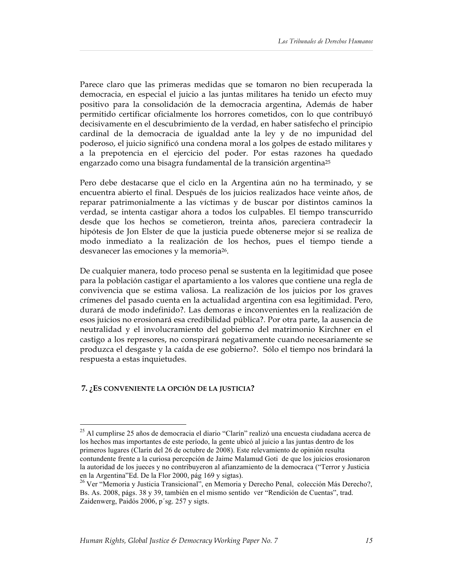Parece claro que las primeras medidas que se tomaron no bien recuperada la democracia, en especial el juicio a las juntas militares ha tenido un efecto muy positivo para la consolidación de la democracia argentina, Además de haber permitido certificar oficialmente los horrores cometidos, con lo que contribuyó decisivamente en el descubrimiento de la verdad, en haber satisfecho el principio cardinal de la democracia de igualdad ante la ley y de no impunidad del poderoso, el juicio significó una condena moral a los golpes de estado militares y a la prepotencia en el ejercicio del poder. Por estas razones ha quedado engarzado como una bisagra fundamental de la transición argentina25

Pero debe destacarse que el ciclo en la Argentina aún no ha terminado, y se encuentra abierto el final. Después de los juicios realizados hace veinte años, de reparar patrimonialmente a las víctimas y de buscar por distintos caminos la verdad, se intenta castigar ahora a todos los culpables. El tiempo transcurrido desde que los hechos se cometieron, treinta años, pareciera contradecir la hipótesis de Jon Elster de que la justicia puede obtenerse mejor si se realiza de modo inmediato a la realización de los hechos, pues el tiempo tiende a desvanecer las emociones y la memoria26.

De cualquier manera, todo proceso penal se sustenta en la legitimidad que posee para la población castigar el apartamiento a los valores que contiene una regla de convivencia que se estima valiosa. La realización de los juicios por los graves crímenes del pasado cuenta en la actualidad argentina con esa legitimidad. Pero, durará de modo indefinido?. Las demoras e inconvenientes en la realización de esos juicios no erosionará esa credibilidad pública?. Por otra parte, la ausencia de neutralidad y el involucramiento del gobierno del matrimonio Kirchner en el castigo a los represores, no conspirará negativamente cuando necesariamente se produzca el desgaste y la caída de ese gobierno?. Sólo el tiempo nos brindará la respuesta a estas inquietudes.

## **7. ¿ES CONVENIENTE LA OPCIÓN DE LA JUSTICIA?**

 <sup>25</sup> Al cumplirse 25 años de democracia el diario "Clarín" realizó una encuesta ciudadana acerca de los hechos mas importantes de este período, la gente ubicó al juicio a las juntas dentro de los primeros lugares (Clarín del 26 de octubre de 2008). Este relevamiento de opinión resulta contundente frente a la curiosa percepción de Jaime Malamud Goti de que los juicios erosionaron la autoridad de los jueces y no contribuyeron al afianzamiento de la democraca ("Terror y Justicia en la Argentina"Ed. De la Flor 2000, pág 169 y sigtas).

<sup>&</sup>lt;sup>26</sup> Ver "Memoria y Justicia Transicional", en Memoria y Derecho Penal, colección Más Derecho?, Bs. As. 2008, págs. 38 y 39, también en el mismo sentido ver "Rendición de Cuentas", trad. Zaidenwerg, Paidós 2006, p´sg. 257 y sigts.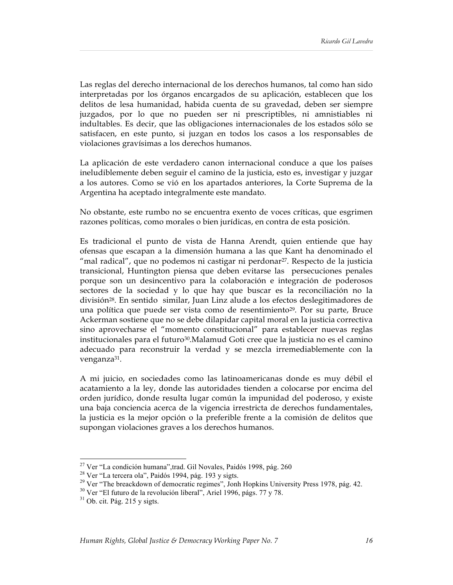Las reglas del derecho internacional de los derechos humanos, tal como han sido interpretadas por los órganos encargados de su aplicación, establecen que los delitos de lesa humanidad, habida cuenta de su gravedad, deben ser siempre juzgados, por lo que no pueden ser ni prescriptibles, ni amnistiables ni indultables. Es decir, que las obligaciones internacionales de los estados sólo se satisfacen, en este punto, si juzgan en todos los casos a los responsables de violaciones gravísimas a los derechos humanos.

La aplicación de este verdadero canon internacional conduce a que los países ineludiblemente deben seguir el camino de la justicia, esto es, investigar y juzgar a los autores. Como se vió en los apartados anteriores, la Corte Suprema de la Argentina ha aceptado integralmente este mandato.

No obstante, este rumbo no se encuentra exento de voces críticas, que esgrimen razones políticas, como morales o bien jurídicas, en contra de esta posición.

Es tradicional el punto de vista de Hanna Arendt, quien entiende que hay ofensas que escapan a la dimensión humana a las que Kant ha denominado el "mal radical", que no podemos ni castigar ni perdonar<sup>27</sup>. Respecto de la justicia transicional, Huntington piensa que deben evitarse las persecuciones penales porque son un desincentivo para la colaboración e integración de poderosos sectores de la sociedad y lo que hay que buscar es la reconciliación no la división28. En sentido similar, Juan Linz alude a los efectos deslegitimadores de una política que puede ser vista como de resentimiento29. Por su parte, Bruce Ackerman sostiene que no se debe dilapidar capital moral en la justicia correctiva sino aprovecharse el "momento constitucional" para establecer nuevas reglas institucionales para el futuro30.Malamud Goti cree que la justicia no es el camino adecuado para reconstruir la verdad y se mezcla irremediablemente con la venganza<sup>31</sup>.

A mi juicio, en sociedades como las latinoamericanas donde es muy débil el acatamiento a la ley, donde las autoridades tienden a colocarse por encima del orden jurídico, donde resulta lugar común la impunidad del poderoso, y existe una baja conciencia acerca de la vigencia irrestricta de derechos fundamentales, la justicia es la mejor opción o la preferible frente a la comisión de delitos que supongan violaciones graves a los derechos humanos.

 $27$  Ver "La condición humana",trad. Gil Novales, Paidós 1998, pág. 260

<sup>28</sup> Ver "La tercera ola", Paidós 1994, pág. 193 y sigts.

<sup>&</sup>lt;sup>29</sup> Ver "The breackdown of democratic regimes", Jonh Hopkins University Press 1978, pág. 42.<br><sup>30</sup> Ver "El futuro de la revolución liberal", Ariel 1996, págs. 77 y 78.<br><sup>31</sup> Ob. cit. Pág. 215 y sigts.